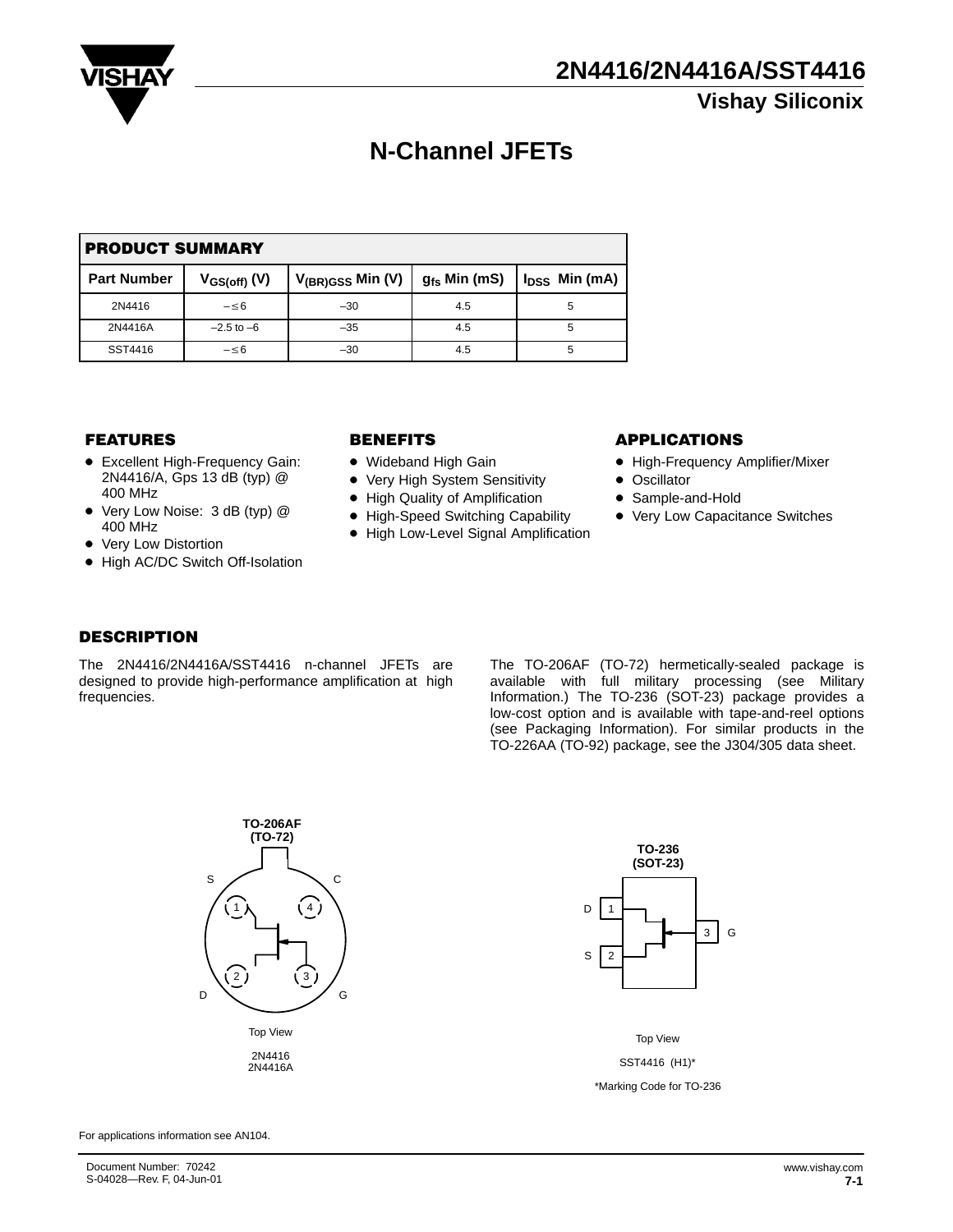

# **N-Channel JFETs**

| <b>PRODUCT SUMMARY</b> |                   |                       |                   |                    |  |  |  |  |
|------------------------|-------------------|-----------------------|-------------------|--------------------|--|--|--|--|
| <b>Part Number</b>     | $V_{GS(off)}$ (V) | $V_{(BR)GSS}$ Min (V) | $g_{fs}$ Min (mS) | $I_{DSS}$ Min (mA) |  |  |  |  |
| 2N4416                 | $-\leq 6$         | $-30$                 | 4.5               | 5                  |  |  |  |  |
| 2N4416A                | $-2.5$ to $-6$    | $-35$                 | 4.5               | 5                  |  |  |  |  |
| SST4416                | $-\leq 6$         | $-30$                 | 4.5               | 5                  |  |  |  |  |

#### **FEATURES**

- **•** Excellent High-Frequency Gain: 2N4416/A, Gps 13 dB (typ) @ 400 MHz
- Very Low Noise: 3 dB (typ) @ 400 MHz
- Very Low Distortion
- High AC/DC Switch Off-Isolation

- Wideband High Gain
- $\bullet$ Very High System Sensitivity
- High Quality of Amplification
- High-Speed Switching Capability
- High Low-Level Signal Amplification

#### BENEFITS APPLICATIONS

- High-Frequency Amplifier/Mixer
- Oscillator
- Sample-and-Hold
- Very Low Capacitance Switches

#### DESCRIPTION

The 2N4416/2N4416A/SST4416 n-channel JFETs are designed to provide high-performance amplification at high frequencies.

The TO-206AF (TO-72) hermetically-sealed package is available with full military processing (see Military Information.) The TO-236 (SOT-23) package provides a low-cost option and is available with tape-and-reel options (see Packaging Information). For similar products in the TO-226AA (TO-92) package, see the J304/305 data sheet.





Top View SST4416 (H1)\* \*Marking Code for TO-236

For applications information see AN104.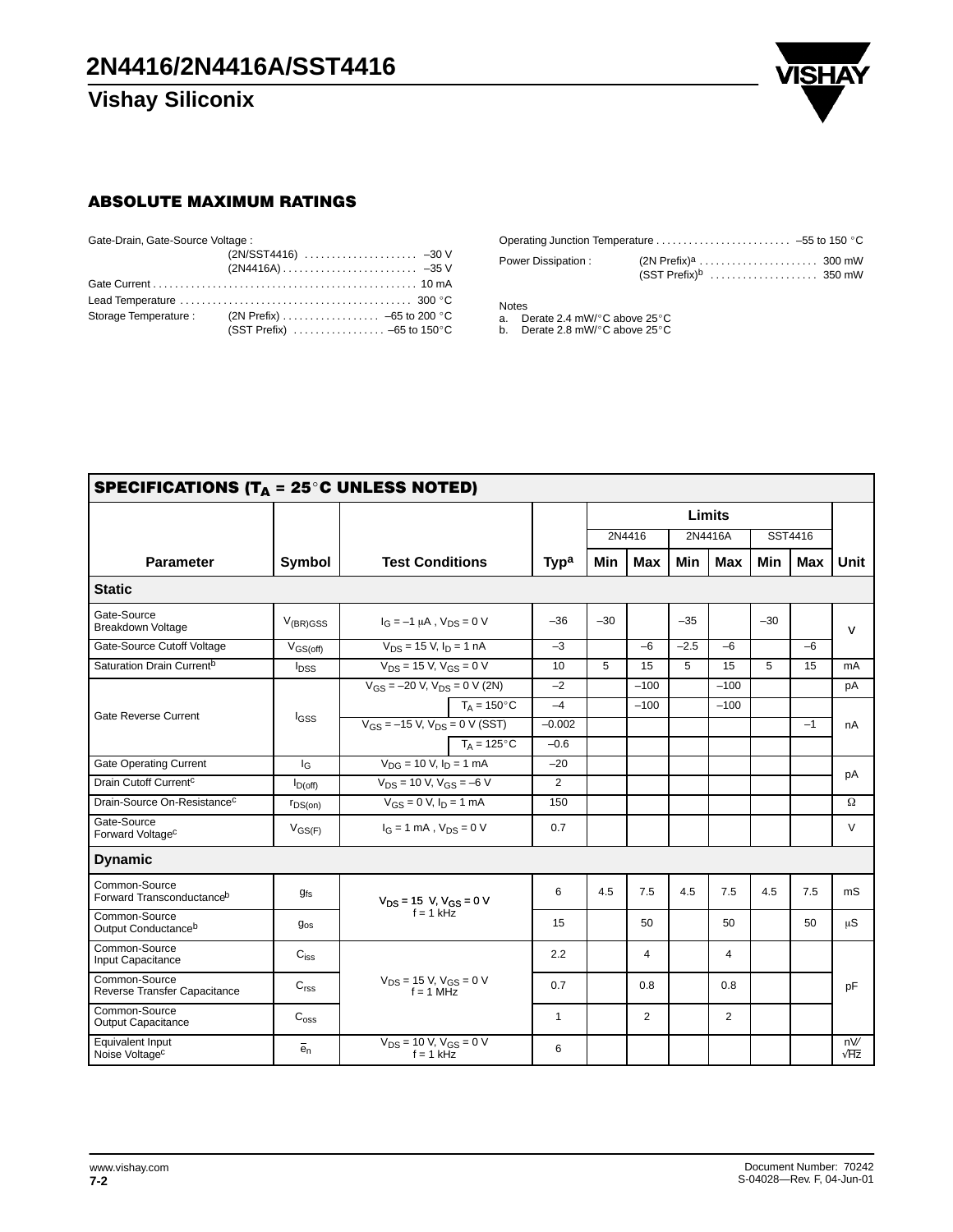

#### ABSOLUTE MAXIMUM RATINGS

| Gate-Drain, Gate-Source Voltage: |                              |
|----------------------------------|------------------------------|
|                                  |                              |
|                                  |                              |
|                                  |                              |
|                                  |                              |
|                                  |                              |
|                                  | $(SST Prefix)$ -65 to 150 °C |

| Power Dissipation: |  |
|--------------------|--|

Notes<br>a. Derate 2.4 mW/°C above 25°C<br>b. Derate 2.8 mW/°C above 25°C

| SPECIFICATIONS (T <sub>A</sub> = 25 $^{\circ}$ C UNLESS NOTED) |                             |                                                     |                  |        |                   |            |                |            |      |                    |
|----------------------------------------------------------------|-----------------------------|-----------------------------------------------------|------------------|--------|-------------------|------------|----------------|------------|------|--------------------|
|                                                                |                             |                                                     |                  | Limits |                   |            |                |            |      |                    |
|                                                                |                             |                                                     |                  |        | 2N4416<br>2N4416A |            |                | SST4416    |      |                    |
| <b>Parameter</b>                                               | Symbol                      | <b>Test Conditions</b>                              | Typ <sup>a</sup> | Min    | <b>Max</b>        | <b>Min</b> | Max            | <b>Min</b> | Max  | Unit               |
| <b>Static</b>                                                  |                             |                                                     |                  |        |                   |            |                |            |      |                    |
| Gate-Source<br><b>Breakdown Voltage</b>                        | $V_{(BR)GSS}$               | $I_G = -1 \mu A$ , $V_{DS} = 0 V$                   | $-36$            | $-30$  |                   | $-35$      |                | $-30$      |      | $\mathsf{V}$       |
| Gate-Source Cutoff Voltage                                     | $V_{GS(off)}$               | $V_{DS}$ = 15 V, $I_D$ = 1 nA                       | $-3$             |        | $-6$              | $-2.5$     | -6             |            | $-6$ |                    |
| Saturation Drain Current <sup>b</sup>                          | $I_{DSS}$                   | $V_{DS}$ = 15 V, $V_{GS}$ = 0 V                     | 10               | 5      | 15                | 5          | 15             | 5          | 15   | mA                 |
|                                                                |                             | $V_{GS} = -20 V$ , $V_{DS} = 0 V (2N)$              | $-2$             |        | $-100$            |            | $-100$         |            |      | рA                 |
| Gate Reverse Current                                           | I <sub>GSS</sub>            | $T_A = 150^{\circ}C$                                | $-4$             |        | $-100$            |            | $-100$         |            |      |                    |
|                                                                |                             | $V_{GS} = -15 V$ , $V_{DS} = 0 V (SST)$             | $-0.002$         |        |                   |            |                |            | $-1$ | nA                 |
|                                                                |                             | $T_A = 125^{\circ}C$                                | $-0.6$           |        |                   |            |                |            |      |                    |
| <b>Gate Operating Current</b>                                  | $I_{G}$                     | $V_{\text{DG}} = 10 V, I_{\text{D}} = 1 \text{ mA}$ | $-20$            |        |                   |            |                |            |      |                    |
| Drain Cutoff Current <sup>c</sup>                              | $I_{D(off)}$                | $V_{DS}$ = 10 V, $V_{GS}$ = -6 V                    | 2                |        |                   |            |                |            |      | pA                 |
| Drain-Source On-Resistance <sup>c</sup>                        | $r_{DS(on)}$                | $V_{GS} = 0$ V, $I_D = 1$ mA                        | 150              |        |                   |            |                |            |      | Ω                  |
| Gate-Source<br>Forward Voltage <sup>c</sup>                    | $V_{GS(F)}$                 | $I_G = 1$ mA, $V_{DS} = 0$ V                        | 0.7              |        |                   |            |                |            |      | V                  |
| <b>Dynamic</b>                                                 |                             |                                                     |                  |        |                   |            |                |            |      |                    |
| Common-Source<br>Forward Transconductance <sup>b</sup>         | <b>gfs</b>                  | $V_{DS}$ = 15 V, $V_{GS}$ = 0 V                     | 6                | 4.5    | 7.5               | 4.5        | 7.5            | 4.5        | 7.5  | mS                 |
| Common-Source<br>Output Conductance <sup>b</sup>               | $g_{\rm os}$                | $f = 1$ kHz                                         | 15               |        | 50                |            | 50             |            | 50   | $\mu S$            |
| Common-Source<br>Input Capacitance                             | $\mathrm{C_{iss}}$          |                                                     | 2.2              |        | 4                 |            | 4              |            |      |                    |
| Common-Source<br>Reverse Transfer Capacitance                  | C <sub>rss</sub>            | $V_{DS}$ = 15 V, $V_{GS}$ = 0 V<br>$f = 1$ MHz      | 0.7              |        | 0.8               |            | 0.8            |            |      | pF                 |
| Common-Source<br><b>Output Capacitance</b>                     | $\mathrm{C}_{\mathrm{oss}}$ |                                                     | 1                |        | $\overline{2}$    |            | $\overline{2}$ |            |      |                    |
| Equivalent Input<br>Noise Voltage <sup>c</sup>                 | $\overline{e}_n$            | $V_{DS}$ = 10 V, $V_{GS}$ = 0 V<br>$f = 1$ kHz      | 6                |        |                   |            |                |            |      | nV/<br>$\sqrt{Hz}$ |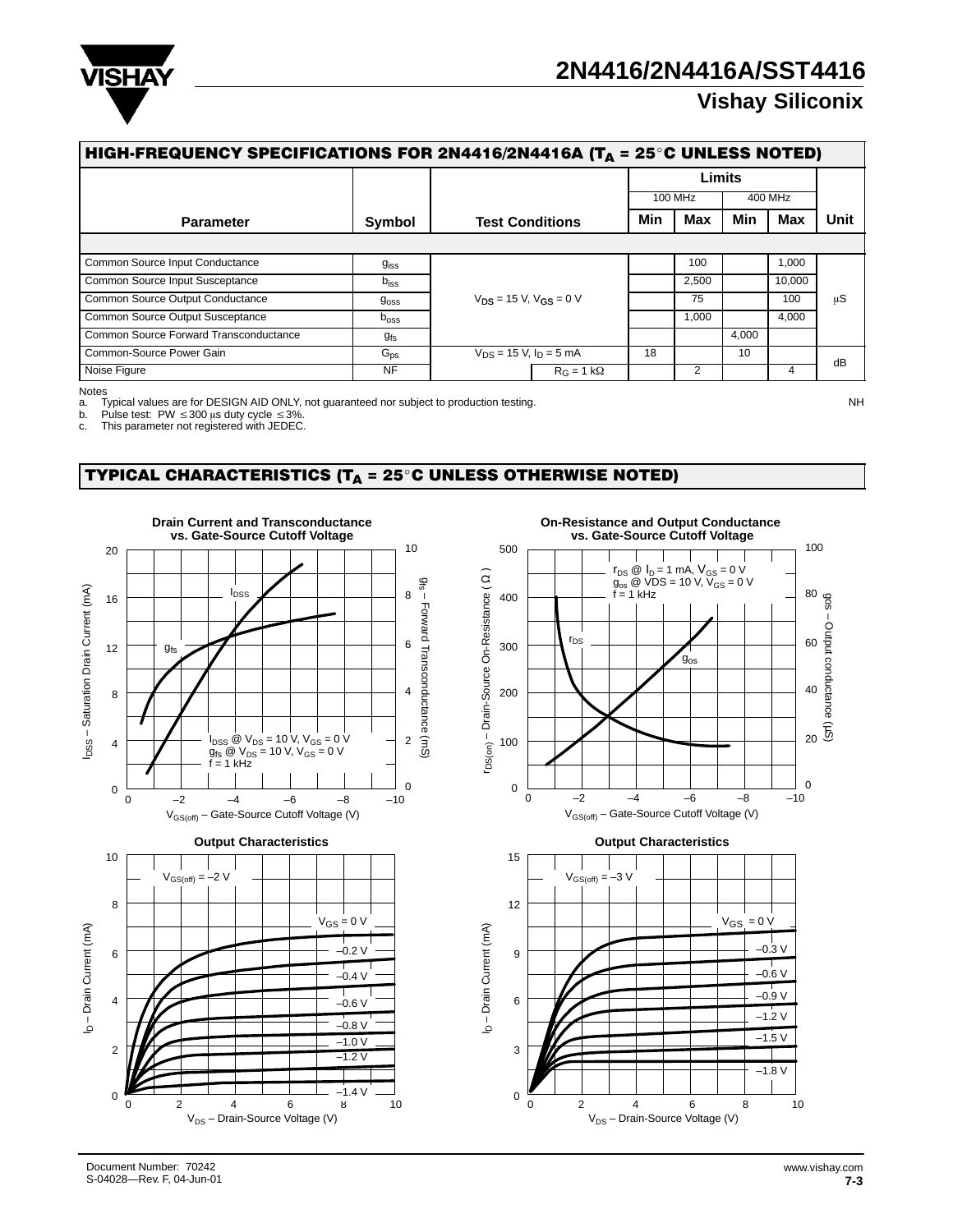

# **2N4416/2N4416A/SST4416**

# **Vishay Siliconix**

| HIGH-FREQUENCY SPECIFICATIONS FOR 2N4416/2N4416A (T <sub>A</sub> = 25 <sup>°</sup> C UNLESS NOTED) |                  |                                 |                              |                |         |        |         |  |  |  |
|----------------------------------------------------------------------------------------------------|------------------|---------------------------------|------------------------------|----------------|---------|--------|---------|--|--|--|
|                                                                                                    |                  |                                 | Limits                       |                |         |        |         |  |  |  |
|                                                                                                    |                  |                                 | 100 MHz<br><b>Max</b><br>Min |                | 400 MHz |        |         |  |  |  |
| <b>Parameter</b>                                                                                   | Symbol           | <b>Test Conditions</b>          |                              |                | Min     | Max    | Unit    |  |  |  |
|                                                                                                    |                  |                                 |                              |                |         |        |         |  |  |  |
| Common Source Input Conductance                                                                    | $g_{\rm iss}$    |                                 |                              | 100            |         | 1,000  |         |  |  |  |
| Common Source Input Susceptance                                                                    | $b_{\text{iss}}$ |                                 |                              | 2,500          |         | 10,000 |         |  |  |  |
| Common Source Output Conductance                                                                   | $g_{\rm{oss}}$   | $V_{DS}$ = 15 V, $V_{GS}$ = 0 V |                              | 75             |         | 100    | $\mu$ S |  |  |  |
| Common Source Output Susceptance                                                                   | $b_{\text{OSS}}$ |                                 |                              | 1.000          |         | 4,000  |         |  |  |  |
| Common Source Forward Transconductance                                                             | $g_{fs}$         |                                 |                              |                | 4,000   |        |         |  |  |  |
| Common-Source Power Gain                                                                           | $G_{\text{ps}}$  | $V_{DS}$ = 15 V, $I_D$ = 5 mA   | 18                           |                | 10      |        | dB      |  |  |  |
| Noise Figure                                                                                       | <b>NF</b>        | $R_G = 1 k\Omega$               |                              | $\overline{2}$ |         | 4      |         |  |  |  |

Notes<br>a. Typical values are for DESIGN AID ONLY, not guaranteed nor subject to production testing.

b. Pulse test:  $PW \leq 300 \mu s$  duty cycle  $\leq 3\%$ .<br>c. This parameter not registered with JEDEC

This parameter not registered with JEDEC.

### TYPICAL CHARACTERISTICS (T $_A$  = 25 $^\circ$ C UNLESS OTHERWISE NOTED)



**On-Resistance and Output Conductance** 





Document Number: 70242 S-04028—Rev. F, 04-Jun-01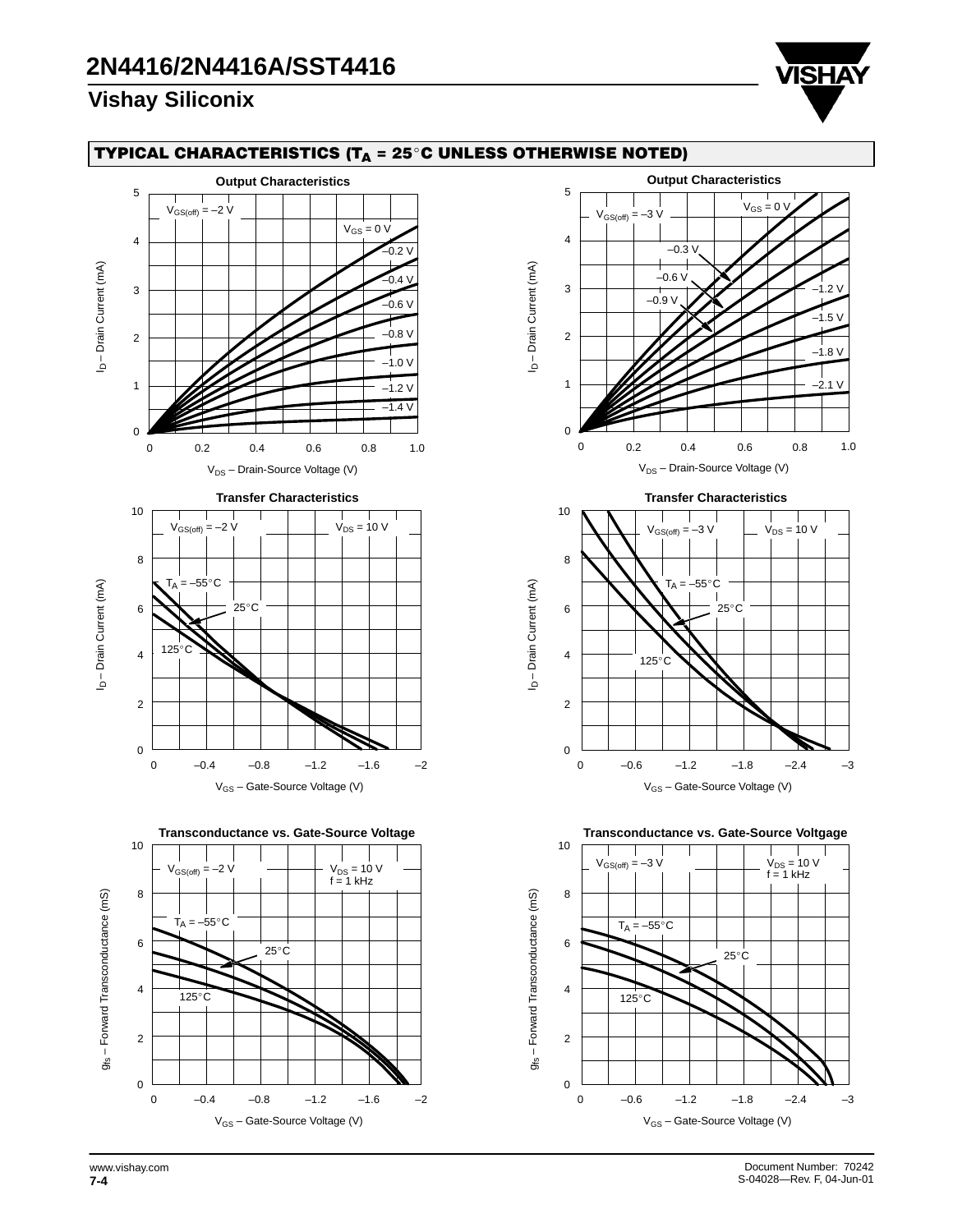

### TYPICAL CHARACTERISTICS (T $_{\mathsf{A}}$  = 25°C UNLESS OTHERWISE NOTED)



![](_page_3_Figure_5.jpeg)

![](_page_3_Figure_6.jpeg)

**Transconductance vs. Gate-Source Voltgage**

![](_page_3_Figure_8.jpeg)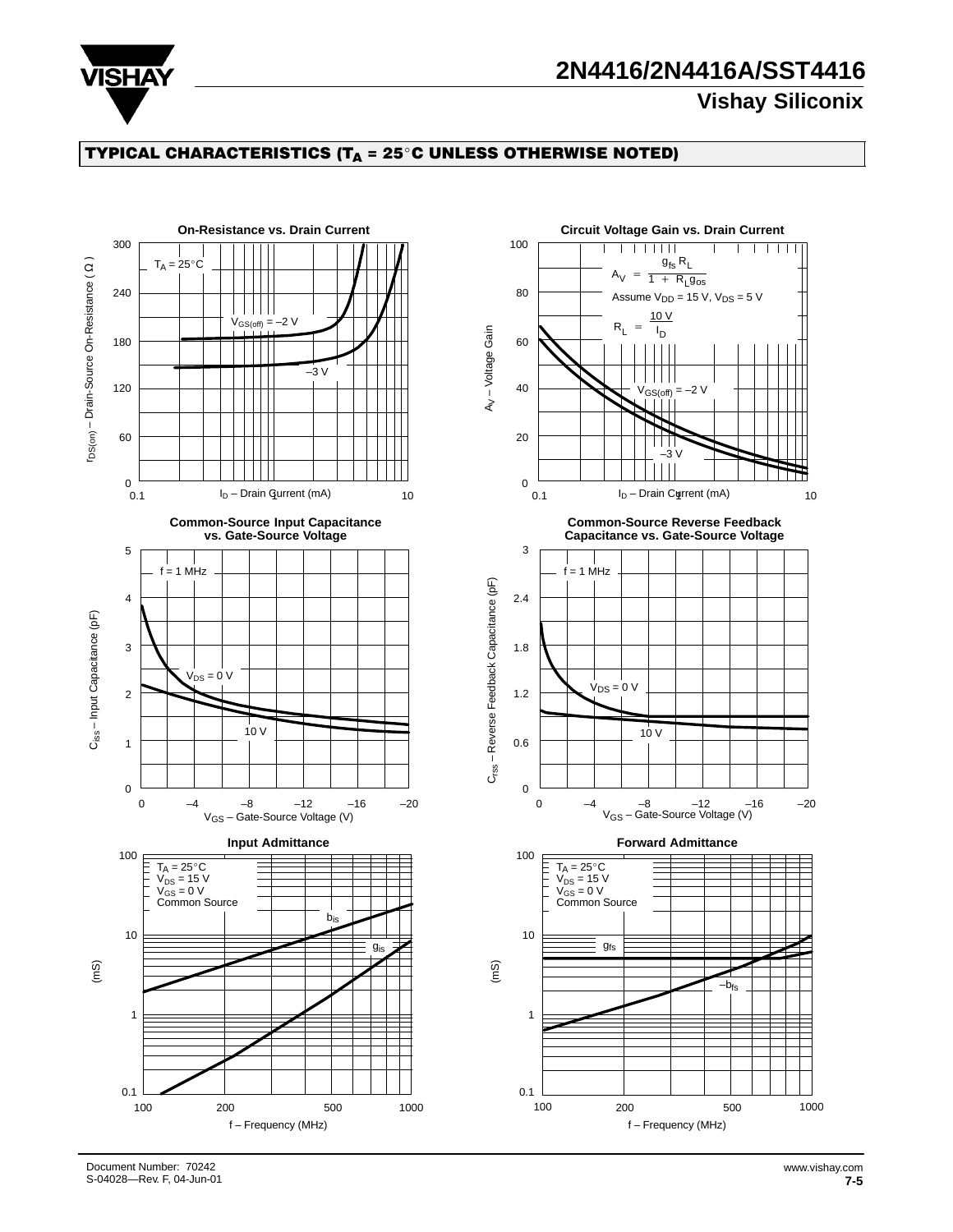![](_page_4_Picture_0.jpeg)

# **2N4416/2N4416A/SST4416**

## **Vishay Siliconix**

### TYPICAL CHARACTERISTICS (T $_{\mathsf{A}}$  = 25°C UNLESS OTHERWISE NOTED)

![](_page_4_Figure_4.jpeg)

Document Number: 70242 S-04028—Rev. F, 04-Jun-01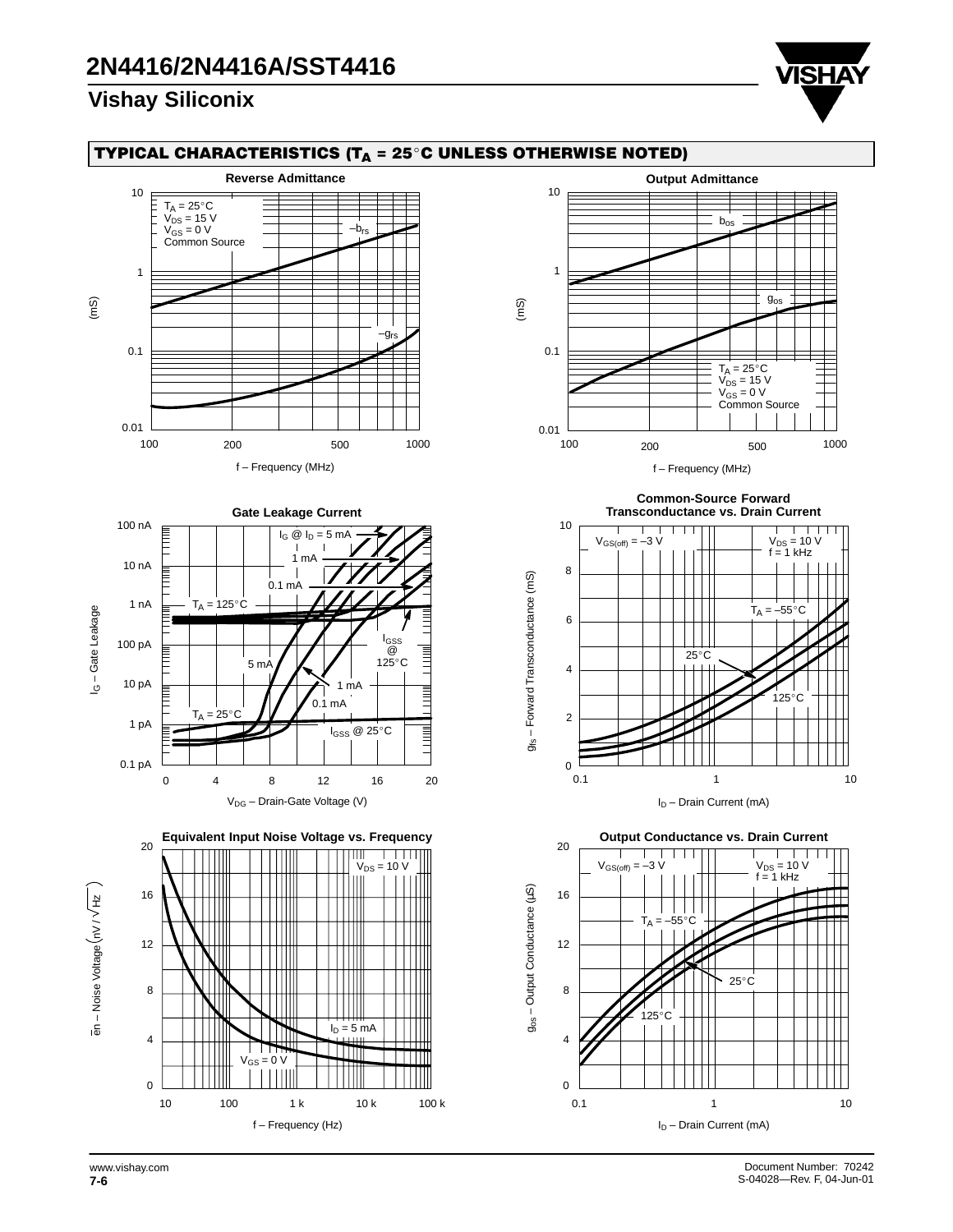![](_page_5_Picture_2.jpeg)

### TYPICAL CHARACTERISTICS (T $_{\mathsf{A}}$  = 25°C UNLESS OTHERWISE NOTED)

![](_page_5_Figure_4.jpeg)

┱